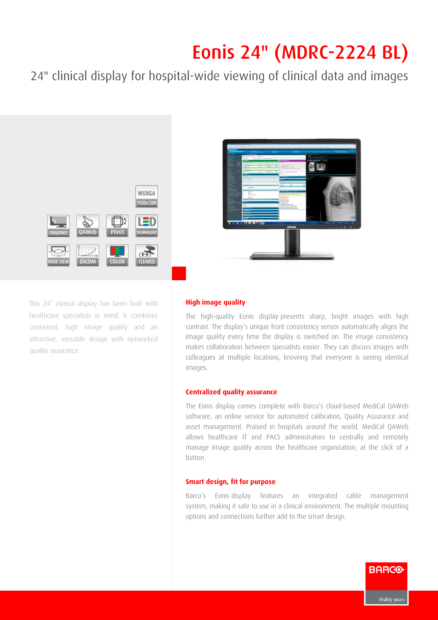## Eonis 24" (MDRC-2224 BL)

24" clinical display for hospital-wide viewing of clinical data and images



This 24" clinical display has been built with healthcare specialists in mind. It combines consistent, high image quality and an attractive, versatile design with networked quality assurance.

## **High image quality**

The high-quality Eonis display presents sharp, bright images with high contrast. The display's unique front consistency sensor automatically aligns the image quality every time the display is switched on. The image consistency makes collaboration between specialists easier. They can discuss images with colleagues at multiple locations, knowing that everyone is seeing identical images.

## **Centralized quality assurance**

The Eonis display comes complete with Barco's cloud-based MediCal QAWeb software, an online service for automated calibration, Quality Assurance and asset management. Praised in hospitals around the world, MediCal QAWeb allows healthcare IT and PACS administrators to centrally and remotely manage image quality across the healthcare organization, at the click of a button.

## **Smart design, fit for purpose**

Barco's Eonis display features an integrated cable management system, making it safe to use in a clinical environment. The multiple mounting options and connections further add to the smart design.

**BARCO**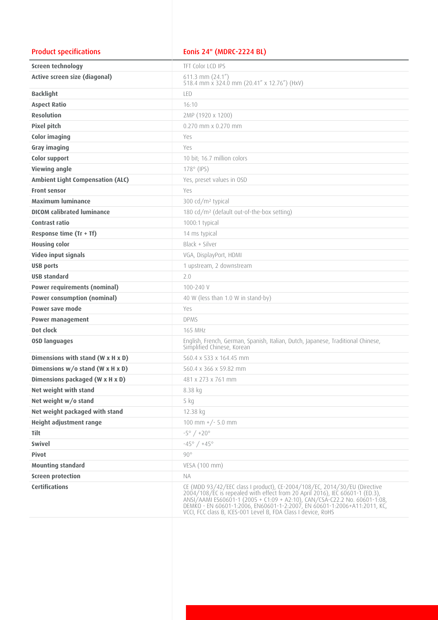| <b>Product specifications</b>           | Eonis 24" (MDRC-2224 BL)                                                                                                                                                                                                                                                                                                                                                            |
|-----------------------------------------|-------------------------------------------------------------------------------------------------------------------------------------------------------------------------------------------------------------------------------------------------------------------------------------------------------------------------------------------------------------------------------------|
| <b>Screen technology</b>                | TFT Color LCD IPS                                                                                                                                                                                                                                                                                                                                                                   |
| Active screen size (diagonal)           | $611.3$ mm $(24.1'')$<br>518.4 mm x 324.0 mm (20.41" x 12.76") (HxV)                                                                                                                                                                                                                                                                                                                |
| <b>Backlight</b>                        | LED                                                                                                                                                                                                                                                                                                                                                                                 |
| <b>Aspect Ratio</b>                     | 16:10                                                                                                                                                                                                                                                                                                                                                                               |
| <b>Resolution</b>                       | 2MP (1920 x 1200)                                                                                                                                                                                                                                                                                                                                                                   |
| <b>Pixel pitch</b>                      | $0.270$ mm $\times$ 0.270 mm                                                                                                                                                                                                                                                                                                                                                        |
| Color imaging                           | Yes                                                                                                                                                                                                                                                                                                                                                                                 |
| Gray imaging                            | Yes                                                                                                                                                                                                                                                                                                                                                                                 |
| <b>Color support</b>                    | 10 bit; 16.7 million colors                                                                                                                                                                                                                                                                                                                                                         |
| <b>Viewing angle</b>                    | $178^\circ$ (IPS)                                                                                                                                                                                                                                                                                                                                                                   |
| <b>Ambient Light Compensation (ALC)</b> | Yes, preset values in OSD                                                                                                                                                                                                                                                                                                                                                           |
| <b>Front sensor</b>                     | Yes                                                                                                                                                                                                                                                                                                                                                                                 |
| <b>Maximum luminance</b>                | 300 cd/m <sup>2</sup> typical                                                                                                                                                                                                                                                                                                                                                       |
| <b>DICOM calibrated luminance</b>       | 180 cd/m <sup>2</sup> (default out-of-the-box setting)                                                                                                                                                                                                                                                                                                                              |
| Contrast ratio                          | 1000:1 typical                                                                                                                                                                                                                                                                                                                                                                      |
| Response time (Tr + Tf)                 | 14 ms typical                                                                                                                                                                                                                                                                                                                                                                       |
| <b>Housing color</b>                    | Black + Silver                                                                                                                                                                                                                                                                                                                                                                      |
| Video input signals                     | VGA, DisplayPort, HDMI                                                                                                                                                                                                                                                                                                                                                              |
| <b>USB ports</b>                        | 1 upstream, 2 downstream                                                                                                                                                                                                                                                                                                                                                            |
| <b>USB</b> standard                     | 2.0                                                                                                                                                                                                                                                                                                                                                                                 |
| <b>Power requirements (nominal)</b>     | $100 - 240$ V                                                                                                                                                                                                                                                                                                                                                                       |
| <b>Power consumption (nominal)</b>      | 40 W (less than 1.0 W in stand-by)                                                                                                                                                                                                                                                                                                                                                  |
| Power save mode                         | Yes                                                                                                                                                                                                                                                                                                                                                                                 |
| <b>Power management</b>                 | <b>DPMS</b>                                                                                                                                                                                                                                                                                                                                                                         |
| Dot clock                               | <b>165 MHz</b>                                                                                                                                                                                                                                                                                                                                                                      |
| <b>OSD languages</b>                    | English, French, German, Spanish, Italian, Dutch, Japanese, Traditional Chinese,<br>Simplified Chinese, Korean                                                                                                                                                                                                                                                                      |
| Dimensions with stand (W x H x D)       | 560.4 x 533 x 164.45 mm                                                                                                                                                                                                                                                                                                                                                             |
| Dimensions w/o stand (W x H x D)        | 560.4 x 366 x 59.82 mm                                                                                                                                                                                                                                                                                                                                                              |
| Dimensions packaged (W x H x D)         | 481 x 273 x 761 mm                                                                                                                                                                                                                                                                                                                                                                  |
| Net weight with stand                   | 8.38 kg                                                                                                                                                                                                                                                                                                                                                                             |
| Net weight w/o stand                    | 5 kg                                                                                                                                                                                                                                                                                                                                                                                |
| Net weight packaged with stand          | 12.38 kg                                                                                                                                                                                                                                                                                                                                                                            |
| Height adjustment range                 | 100 mm $+/- 5.0$ mm                                                                                                                                                                                                                                                                                                                                                                 |
| <b>Tilt</b>                             | $-5^{\circ}$ / $+20^{\circ}$                                                                                                                                                                                                                                                                                                                                                        |
| <b>Swivel</b>                           | $-45^{\circ}$ / $+45^{\circ}$                                                                                                                                                                                                                                                                                                                                                       |
| <b>Pivot</b>                            | $90^{\circ}$                                                                                                                                                                                                                                                                                                                                                                        |
| <b>Mounting standard</b>                | VESA (100 mm)                                                                                                                                                                                                                                                                                                                                                                       |
| <b>Screen protection</b>                | <b>NA</b>                                                                                                                                                                                                                                                                                                                                                                           |
| <b>Certifications</b>                   | CE (MDD 93/42/EEC class I product), CE-2004/108/EC, 2014/30/EU (Directive<br>2004/108/EC is repealed with effect from 20 April 2016), IEC 60601-1 (ED.3),<br>ANSI/AAMI ES60601-1 (2005 + C1:09 + A2:10), CAN/CSA-C22.2 No. 60601-1:08,<br>DEMKO - EN 60601-1:2006, EN60601-1-2:2007, EN 60601-1:2006+A11:2011, KC,<br>VCCI, FCC class B, ICES-001 Level B, FDA Class I device, RoHS |